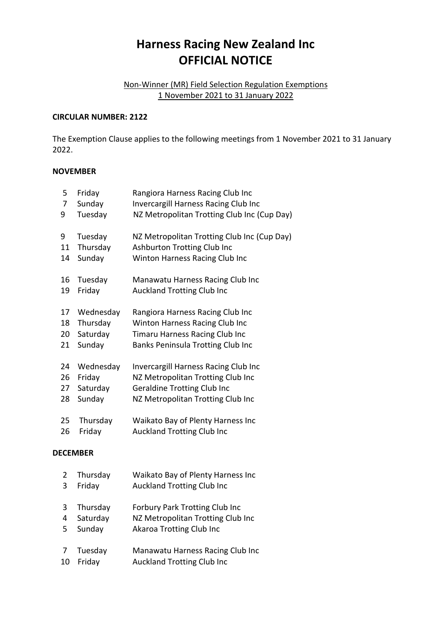# **Harness Racing New Zealand Inc OFFICIAL NOTICE**

### Non-Winner (MR) Field Selection Regulation Exemptions 1 November 2021 to 31 January 2022

#### **CIRCULAR NUMBER: 2122**

The Exemption Clause applies to the following meetings from 1 November 2021 to 31 January 2022.

#### **NOVEMBER**

|                 | 7  | Sunday    | Invercargill Harness Racing Club Inc        |  |  |
|-----------------|----|-----------|---------------------------------------------|--|--|
|                 | 9  | Tuesday   | NZ Metropolitan Trotting Club Inc (Cup Day) |  |  |
|                 | 9  | Tuesday   | NZ Metropolitan Trotting Club Inc (Cup Day) |  |  |
|                 | 11 | Thursday  | Ashburton Trotting Club Inc                 |  |  |
|                 | 14 | Sunday    | Winton Harness Racing Club Inc              |  |  |
|                 | 16 | Tuesday   | Manawatu Harness Racing Club Inc            |  |  |
|                 | 19 | Friday    | <b>Auckland Trotting Club Inc</b>           |  |  |
|                 | 17 | Wednesday | Rangiora Harness Racing Club Inc            |  |  |
|                 | 18 | Thursday  | Winton Harness Racing Club Inc              |  |  |
|                 | 20 | Saturday  | Timaru Harness Racing Club Inc              |  |  |
|                 | 21 | Sunday    | Banks Peninsula Trotting Club Inc           |  |  |
|                 | 24 | Wednesday | <b>Invercargill Harness Racing Club Inc</b> |  |  |
|                 | 26 | Friday    | NZ Metropolitan Trotting Club Inc           |  |  |
|                 | 27 | Saturday  | <b>Geraldine Trotting Club Inc</b>          |  |  |
|                 | 28 | Sunday    | NZ Metropolitan Trotting Club Inc           |  |  |
|                 | 25 | Thursday  | Waikato Bay of Plenty Harness Inc           |  |  |
|                 | 26 | Friday    | <b>Auckland Trotting Club Inc</b>           |  |  |
| <b>DECEMBER</b> |    |           |                                             |  |  |
|                 | 2  | Thursday  | Waikato Bay of Plenty Harness Inc           |  |  |
|                 | 3  | Friday    | <b>Auckland Trotting Club Inc</b>           |  |  |
|                 | 3  | Thursday  | <b>Forbury Park Trotting Club Inc</b>       |  |  |
|                 | 4  | Saturday  | NZ Metropolitan Trotting Club Inc           |  |  |
|                 | 5  | Sunday    | Akaroa Trotting Club Inc                    |  |  |
|                 | 7  | Tuesday   | Manawatu Harness Racing Club Inc            |  |  |
|                 | 10 | Friday    | <b>Auckland Trotting Club Inc</b>           |  |  |
|                 |    |           |                                             |  |  |

5 Friday Rangiora Harness Racing Club Inc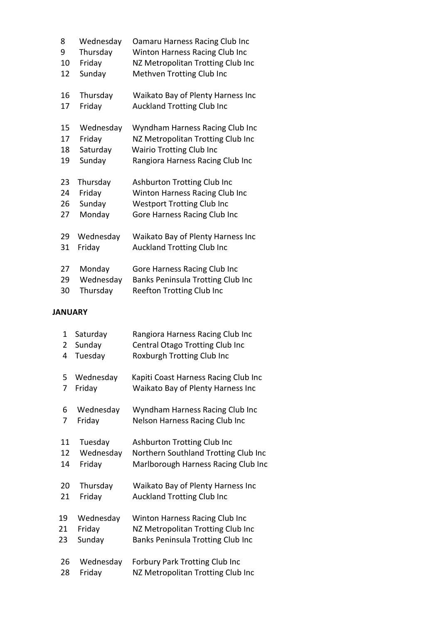| 8  | Wednesday | Oamaru Harness Racing Club Inc    |
|----|-----------|-----------------------------------|
| 9  | Thursday  | Winton Harness Racing Club Inc    |
| 10 | Friday    | NZ Metropolitan Trotting Club Inc |
| 12 | Sunday    | Methven Trotting Club Inc         |
| 16 | Thursday  | Waikato Bay of Plenty Harness Inc |
| 17 | Friday    | <b>Auckland Trotting Club Inc</b> |
| 15 | Wednesday | Wyndham Harness Racing Club Inc   |
| 17 | Friday    | NZ Metropolitan Trotting Club Inc |
| 18 | Saturday  | <b>Wairio Trotting Club Inc</b>   |
| 19 | Sunday    | Rangiora Harness Racing Club Inc  |
| 23 | Thursday  | Ashburton Trotting Club Inc       |
| 24 | Friday    | Winton Harness Racing Club Inc    |
| 26 | Sunday    | <b>Westport Trotting Club Inc</b> |
| 27 | Monday    | Gore Harness Racing Club Inc      |
| 29 | Wednesday | Waikato Bay of Plenty Harness Inc |
| 31 | Friday    | <b>Auckland Trotting Club Inc</b> |
| 27 | Monday    | Gore Harness Racing Club Inc      |
| 29 | Wednesday | Banks Peninsula Trotting Club Inc |
| 30 | Thursday  | <b>Reefton Trotting Club Inc</b>  |

## **JANUARY**

| 1  | Saturday  | Rangiora Harness Racing Club Inc      |
|----|-----------|---------------------------------------|
| 2  | Sunday    | Central Otago Trotting Club Inc       |
| 4  | Tuesday   | Roxburgh Trotting Club Inc            |
| 5  | Wednesday | Kapiti Coast Harness Racing Club Inc  |
| 7  | Friday    | Waikato Bay of Plenty Harness Inc     |
| 6  | Wednesday | Wyndham Harness Racing Club Inc       |
| 7  | Friday    | <b>Nelson Harness Racing Club Inc</b> |
| 11 | Tuesday   | Ashburton Trotting Club Inc           |
| 12 | Wednesday | Northern Southland Trotting Club Inc  |
| 14 | Friday    | Marlborough Harness Racing Club Inc   |
| 20 | Thursday  | Waikato Bay of Plenty Harness Inc     |
| 21 | Friday    | <b>Auckland Trotting Club Inc</b>     |
| 19 | Wednesday | Winton Harness Racing Club Inc        |
| 21 | Friday    | NZ Metropolitan Trotting Club Inc     |
| 23 | Sunday    | Banks Peninsula Trotting Club Inc     |
| 26 | Wednesday | <b>Forbury Park Trotting Club Inc</b> |
| 28 | Friday    | NZ Metropolitan Trotting Club Inc     |
|    |           |                                       |